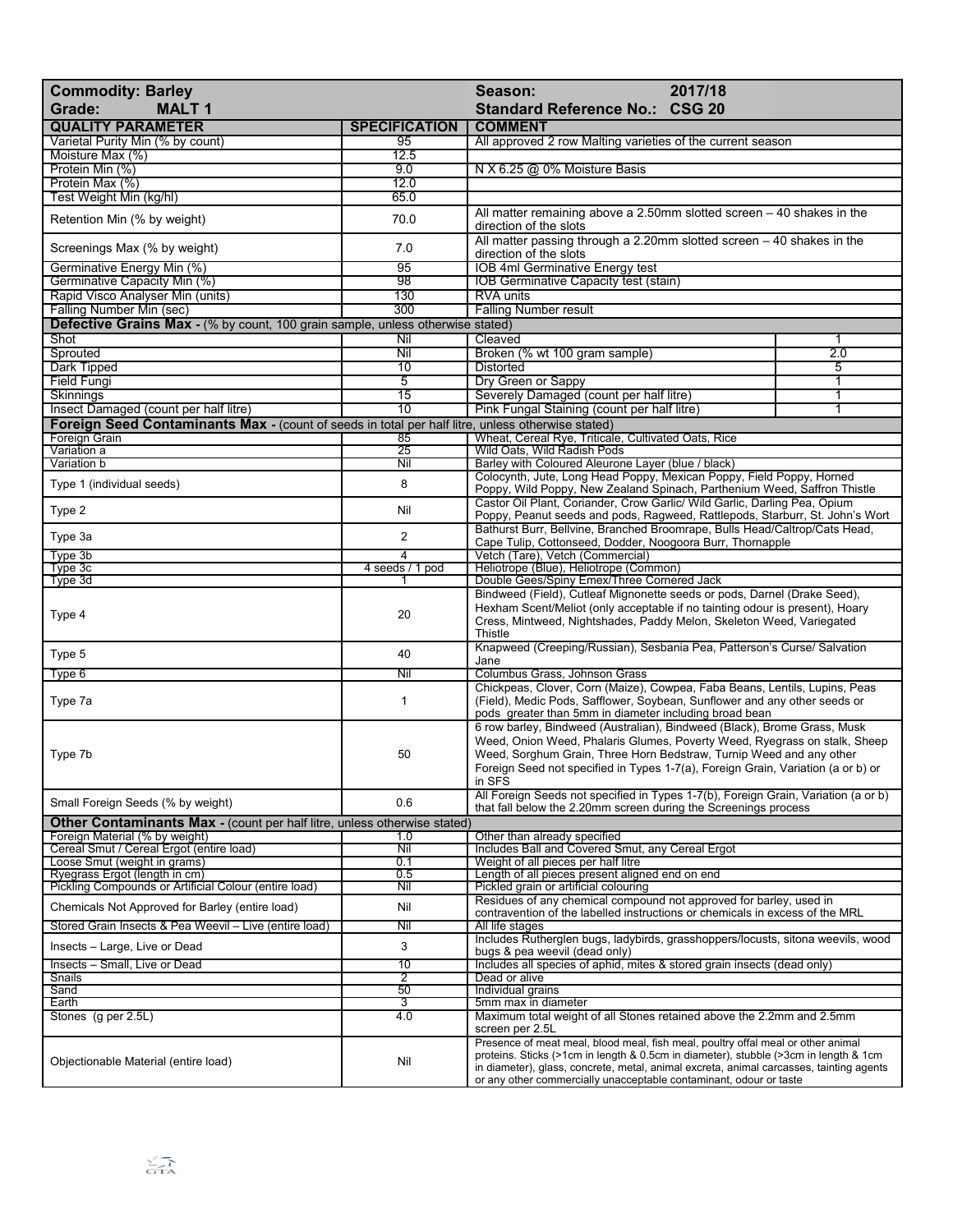| 2017/18<br><b>Commodity: Barley</b><br>Season:<br>Grade:<br><b>MALT1</b><br><b>Standard Reference No.: CSG 20</b>                          |                        |                                                                                                                                                                                                                                             |     |
|--------------------------------------------------------------------------------------------------------------------------------------------|------------------------|---------------------------------------------------------------------------------------------------------------------------------------------------------------------------------------------------------------------------------------------|-----|
| <b>QUALITY PARAMETER</b>                                                                                                                   | <b>SPECIFICATION</b>   | <b>COMMENT</b>                                                                                                                                                                                                                              |     |
| Varietal Purity Min (% by count)                                                                                                           | 95                     | All approved 2 row Malting varieties of the current season                                                                                                                                                                                  |     |
| Moisture Max (%)                                                                                                                           | 12.5                   |                                                                                                                                                                                                                                             |     |
| Protein Min (%)                                                                                                                            | 9.0                    | N X 6.25 @ 0% Moisture Basis                                                                                                                                                                                                                |     |
| Protein Max (%)<br>Test Weight Min (kg/hl)                                                                                                 | 12.0<br>65.0           |                                                                                                                                                                                                                                             |     |
|                                                                                                                                            |                        | All matter remaining above a 2.50mm slotted screen $-40$ shakes in the                                                                                                                                                                      |     |
| Retention Min (% by weight)                                                                                                                | 70.0                   | direction of the slots                                                                                                                                                                                                                      |     |
| Screenings Max (% by weight)                                                                                                               | 7.0                    | All matter passing through a 2.20mm slotted screen $-40$ shakes in the<br>direction of the slots                                                                                                                                            |     |
| Germinative Energy Min (%)                                                                                                                 | 95                     | <b>IOB 4ml Germinative Energy test</b>                                                                                                                                                                                                      |     |
| Germinative Capacity Min (%)<br>Rapid Visco Analyser Min (units)                                                                           | $\overline{98}$<br>130 | <b>IOB Germinative Capacity test (stain)</b><br>RVA units                                                                                                                                                                                   |     |
| Falling Number Min (sec)                                                                                                                   | 300                    | <b>Falling Number result</b>                                                                                                                                                                                                                |     |
| <b>Defective Grains Max - (% by count, 100 grain sample, unless otherwise stated)</b>                                                      |                        |                                                                                                                                                                                                                                             |     |
| Shot                                                                                                                                       | Nil                    | Cleaved                                                                                                                                                                                                                                     | 1   |
| Sprouted                                                                                                                                   | Nil                    | Broken (% wt 100 gram sample)                                                                                                                                                                                                               | 2.0 |
| Dark Tipped                                                                                                                                | 10                     | Distorted                                                                                                                                                                                                                                   | 5   |
| <b>Field Fungi</b>                                                                                                                         | $\overline{5}$         | Dry Green or Sappy                                                                                                                                                                                                                          | 1   |
| Skinnings                                                                                                                                  | 15                     | Severely Damaged (count per half litre)                                                                                                                                                                                                     | 1   |
| Insect Damaged (count per half litre)<br>Foreign Seed Contaminants Max - (count of seeds in total per half litre, unless otherwise stated) | $\overline{10}$        | Pink Fungal Staining (count per half litre)                                                                                                                                                                                                 | 1   |
| Foreign Grain                                                                                                                              | 85                     | Wheat, Cereal Rye, Triticale, Cultivated Oats, Rice                                                                                                                                                                                         |     |
| Variation a                                                                                                                                | $\overline{25}$        | Wild Oats, Wild Radish Pods                                                                                                                                                                                                                 |     |
| Variation b                                                                                                                                | Nil                    | Barley with Coloured Aleurone Layer (blue / black)                                                                                                                                                                                          |     |
| Type 1 (individual seeds)                                                                                                                  | 8                      | Colocynth, Jute, Long Head Poppy, Mexican Poppy, Field Poppy, Horned                                                                                                                                                                        |     |
|                                                                                                                                            |                        | Poppy, Wild Poppy, New Zealand Spinach, Parthenium Weed, Saffron Thistle                                                                                                                                                                    |     |
| Type 2                                                                                                                                     | Nil                    | Castor Oil Plant, Coriander, Crow Garlic/ Wild Garlic, Darling Pea, Opium<br>Poppy, Peanut seeds and pods, Ragweed, Rattlepods, Starburr, St. John's Wort                                                                                   |     |
| Type 3a                                                                                                                                    | $\overline{2}$         | Bathurst Burr, Bellvine, Branched Broomrape, Bulls Head/Caltrop/Cats Head,                                                                                                                                                                  |     |
| Type 3b                                                                                                                                    | 4                      | Cape Tulip, Cottonseed, Dodder, Noogoora Burr, Thornapple<br>Vetch (Tare), Vetch (Commercial)                                                                                                                                               |     |
| Type 3c                                                                                                                                    | 4 seeds / 1 pod        | Heliotrope (Blue), Heliotrope (Common)                                                                                                                                                                                                      |     |
| Type 3d                                                                                                                                    |                        | Double Gees/Spiny Emex/Three Cornered Jack                                                                                                                                                                                                  |     |
| Type 4                                                                                                                                     | 20                     | Bindweed (Field), Cutleaf Mignonette seeds or pods, Darnel (Drake Seed),<br>Hexham Scent/Meliot (only acceptable if no tainting odour is present), Hoary<br>Cress, Mintweed, Nightshades, Paddy Melon, Skeleton Weed, Variegated<br>Thistle |     |
|                                                                                                                                            |                        |                                                                                                                                                                                                                                             |     |
| Type 5                                                                                                                                     | 40                     | Knapweed (Creeping/Russian), Sesbania Pea, Patterson's Curse/ Salvation<br>Jane                                                                                                                                                             |     |
| Type 6                                                                                                                                     | Nil                    | Columbus Grass, Johnson Grass                                                                                                                                                                                                               |     |
| Type 7a                                                                                                                                    | $\mathbf{1}$           | Chickpeas, Clover, Corn (Maize), Cowpea, Faba Beans, Lentils, Lupins, Peas<br>(Field), Medic Pods, Safflower, Soybean, Sunflower and any other seeds or                                                                                     |     |
|                                                                                                                                            |                        | pods greater than 5mm in diameter including broad bean<br>6 row barley, Bindweed (Australian), Bindweed (Black), Brome Grass, Musk                                                                                                          |     |
|                                                                                                                                            |                        | Weed, Onion Weed, Phalaris Glumes, Poverty Weed, Ryegrass on stalk, Sheep                                                                                                                                                                   |     |
| Type 7b                                                                                                                                    | 50                     | Weed, Sorghum Grain, Three Horn Bedstraw, Turnip Weed and any other                                                                                                                                                                         |     |
|                                                                                                                                            |                        | Foreign Seed not specified in Types 1-7(a), Foreign Grain, Variation (a or b) or                                                                                                                                                            |     |
|                                                                                                                                            |                        | in SFS                                                                                                                                                                                                                                      |     |
| Small Foreign Seeds (% by weight)                                                                                                          | 0.6                    | All Foreign Seeds not specified in Types 1-7(b), Foreign Grain, Variation (a or b)<br>that fall below the 2.20mm screen during the Screenings process                                                                                       |     |
| Other Contaminants Max - (count per half litre, unless otherwise stated)                                                                   |                        |                                                                                                                                                                                                                                             |     |
| Foreign Material (% by weight)                                                                                                             | 1.0                    | Other than already specified                                                                                                                                                                                                                |     |
| Cereal Smut / Cereal Ergot (entire load)                                                                                                   | Nil                    | Includes Ball and Covered Smut, any Cereal Ergot                                                                                                                                                                                            |     |
| Loose Smut (weight in grams)                                                                                                               | 0.1                    | Weight of all pieces per half litre                                                                                                                                                                                                         |     |
| Ryegrass Ergot (length in cm)<br>Pickling Compounds or Artificial Colour (entire load)                                                     | 0.5<br>Nil             | Length of all pieces present aligned end on end<br>Pickled grain or artificial colouring                                                                                                                                                    |     |
|                                                                                                                                            |                        | Residues of any chemical compound not approved for barley, used in                                                                                                                                                                          |     |
| Chemicals Not Approved for Barley (entire load)                                                                                            | Nil                    | contravention of the labelled instructions or chemicals in excess of the MRL                                                                                                                                                                |     |
| Stored Grain Insects & Pea Weevil - Live (entire load)                                                                                     | Nil                    | All life stages                                                                                                                                                                                                                             |     |
| Insects - Large, Live or Dead                                                                                                              | 3                      | Includes Rutherglen bugs, ladybirds, grasshoppers/locusts, sitona weevils, wood<br>bugs & pea weevil (dead only)                                                                                                                            |     |
| Insects - Small, Live or Dead                                                                                                              | 10                     | Includes all species of aphid, mites & stored grain insects (dead only)                                                                                                                                                                     |     |
| Snails                                                                                                                                     | $\overline{2}$         | Dead or alive                                                                                                                                                                                                                               |     |
| Sand                                                                                                                                       | 50                     | Individual grains                                                                                                                                                                                                                           |     |
| Earth<br>Stones (g per 2.5L)                                                                                                               | 3<br>4.0               | 5mm max in diameter                                                                                                                                                                                                                         |     |
|                                                                                                                                            |                        | Maximum total weight of all Stones retained above the 2.2mm and 2.5mm<br>screen per 2.5L                                                                                                                                                    |     |
|                                                                                                                                            |                        | Presence of meat meal, blood meal, fish meal, poultry offal meal or other animal<br>proteins. Sticks (>1cm in length & 0.5cm in diameter), stubble (>3cm in length & 1cm                                                                    |     |
| Objectionable Material (entire load)                                                                                                       | Nil                    | in diameter), glass, concrete, metal, animal excreta, animal carcasses, tainting agents                                                                                                                                                     |     |
|                                                                                                                                            |                        | or any other commercially unacceptable contaminant, odour or taste                                                                                                                                                                          |     |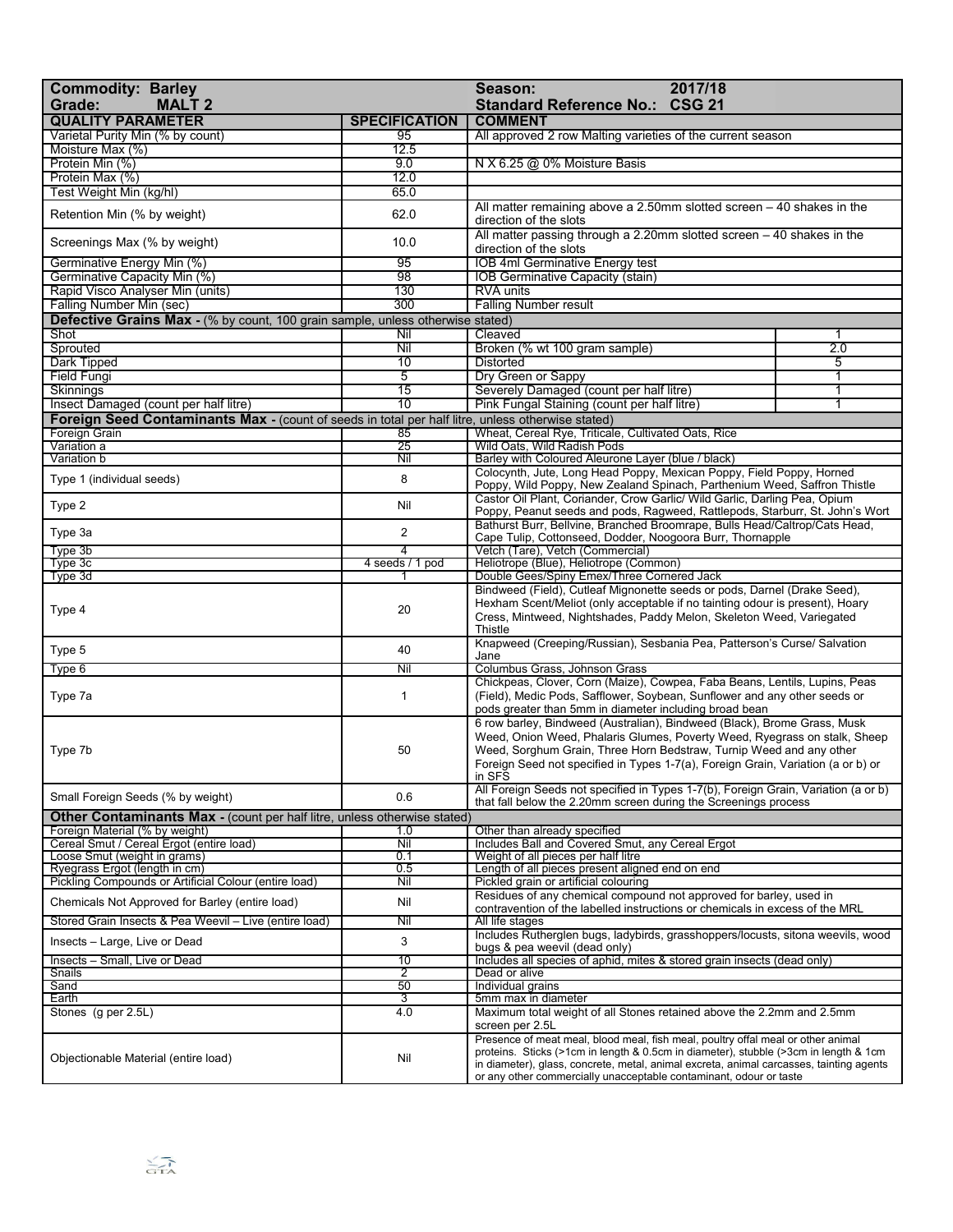| <b>Commodity: Barley</b><br>2017/18<br>Season:<br><b>MALT 2</b><br>Grade:                                  |                      | <b>CSG 21</b><br><b>Standard Reference No.:</b>                                                                                                                                                                                                                                                                                           |        |
|------------------------------------------------------------------------------------------------------------|----------------------|-------------------------------------------------------------------------------------------------------------------------------------------------------------------------------------------------------------------------------------------------------------------------------------------------------------------------------------------|--------|
| <b>QUALITY PARAMETER</b>                                                                                   | <b>SPECIFICATION</b> | <b>COMMENT</b>                                                                                                                                                                                                                                                                                                                            |        |
| Varietal Purity Min (% by count)                                                                           | 95                   | All approved 2 row Malting varieties of the current season                                                                                                                                                                                                                                                                                |        |
| Moisture Max (%)                                                                                           | 12.5                 |                                                                                                                                                                                                                                                                                                                                           |        |
| Protein Min (%)                                                                                            | 9.0                  | N X 6.25 @ 0% Moisture Basis                                                                                                                                                                                                                                                                                                              |        |
| Protein Max (%)<br>Test Weight Min (kg/hl)                                                                 | 12.0<br>65.0         |                                                                                                                                                                                                                                                                                                                                           |        |
|                                                                                                            |                      | All matter remaining above a $2.50$ mm slotted screen $-40$ shakes in the                                                                                                                                                                                                                                                                 |        |
| Retention Min (% by weight)                                                                                | 62.0                 | direction of the slots                                                                                                                                                                                                                                                                                                                    |        |
| Screenings Max (% by weight)                                                                               | 10.0<br>95           | All matter passing through a 2.20mm slotted screen $-40$ shakes in the<br>direction of the slots                                                                                                                                                                                                                                          |        |
| Germinative Energy Min (%)<br>Germinative Capacity Min (%)                                                 | 98                   | IOB 4ml Germinative Energy test<br><b>IOB Germinative Capacity (stain)</b>                                                                                                                                                                                                                                                                |        |
| Rapid Visco Analyser Min (units)                                                                           | 130                  | <b>RVA units</b>                                                                                                                                                                                                                                                                                                                          |        |
| Falling Number Min (sec)                                                                                   | 300                  | <b>Falling Number result</b>                                                                                                                                                                                                                                                                                                              |        |
| <b>Defective Grains Max - (% by count, 100 grain sample, unless otherwise stated)</b>                      |                      |                                                                                                                                                                                                                                                                                                                                           |        |
| Shot                                                                                                       | Nil                  | Cleaved                                                                                                                                                                                                                                                                                                                                   | 1      |
| Sprouted                                                                                                   | Nil                  | Broken (% wt 100 gram sample)                                                                                                                                                                                                                                                                                                             | 2.0    |
| Dark Tipped<br><b>Field Fungi</b>                                                                          | 10<br>5              | <b>Distorted</b>                                                                                                                                                                                                                                                                                                                          | 5<br>1 |
| Skinnings                                                                                                  | 15                   | Dry Green or Sappy<br>Severely Damaged (count per half litre)                                                                                                                                                                                                                                                                             | 1      |
| Insect Damaged (count per half litre)                                                                      | 10                   | Pink Fungal Staining (count per half litre)                                                                                                                                                                                                                                                                                               | 1      |
| Foreign Seed Contaminants Max - (count of seeds in total per half litre, unless otherwise stated)          |                      |                                                                                                                                                                                                                                                                                                                                           |        |
| <b>Foreign Grain</b>                                                                                       | 85                   | Wheat, Cereal Rye, Triticale, Cultivated Oats, Rice                                                                                                                                                                                                                                                                                       |        |
| Variation a                                                                                                | $\overline{25}$      | Wild Oats, Wild Radish Pods                                                                                                                                                                                                                                                                                                               |        |
| Variation b                                                                                                | Nil                  | Barley with Coloured Aleurone Layer (blue / black)                                                                                                                                                                                                                                                                                        |        |
| Type 1 (individual seeds)                                                                                  | 8                    | Colocynth, Jute, Long Head Poppy, Mexican Poppy, Field Poppy, Horned<br>Poppy, Wild Poppy, New Zealand Spinach, Parthenium Weed, Saffron Thistle                                                                                                                                                                                          |        |
| Type 2                                                                                                     | Nil                  | Castor Oil Plant, Coriander, Crow Garlic/ Wild Garlic, Darling Pea, Opium<br>Poppy, Peanut seeds and pods, Ragweed, Rattlepods, Starburr, St. John's Wort                                                                                                                                                                                 |        |
| Type 3a                                                                                                    | $\overline{2}$       | Bathurst Burr, Bellyine, Branched Broomrape, Bulls Head/Caltrop/Cats Head.<br>Cape Tulip, Cottonseed, Dodder, Noogoora Burr, Thornapple                                                                                                                                                                                                   |        |
| Type 3b<br>Type 3c                                                                                         | 4<br>4 seeds / 1 pod | Vetch (Tare), Vetch (Commercial)<br>Heliotrope (Blue), Heliotrope (Common)                                                                                                                                                                                                                                                                |        |
| Type 3d                                                                                                    |                      | Double Gees/Spiny Emex/Three Cornered Jack                                                                                                                                                                                                                                                                                                |        |
| Type 4                                                                                                     | 20                   | Bindweed (Field), Cutleaf Mignonette seeds or pods, Darnel (Drake Seed),<br>Hexham Scent/Meliot (only acceptable if no tainting odour is present), Hoary<br>Cress, Mintweed, Nightshades, Paddy Melon, Skeleton Weed, Variegated<br>Thistle                                                                                               |        |
| Type 5                                                                                                     | 40                   | Knapweed (Creeping/Russian), Sesbania Pea, Patterson's Curse/ Salvation<br>Jane                                                                                                                                                                                                                                                           |        |
| Type 6                                                                                                     | Nil                  | Columbus Grass, Johnson Grass                                                                                                                                                                                                                                                                                                             |        |
| Type 7a                                                                                                    | $\mathbf{1}$         | Chickpeas, Clover, Corn (Maize), Cowpea, Faba Beans, Lentils, Lupins, Peas<br>(Field), Medic Pods, Safflower, Soybean, Sunflower and any other seeds or<br>pods greater than 5mm in diameter including broad bean                                                                                                                         |        |
| Type 7b                                                                                                    | 50                   | 6 row barley, Bindweed (Australian), Bindweed (Black), Brome Grass, Musk<br>Weed, Onion Weed, Phalaris Glumes, Poverty Weed, Ryegrass on stalk, Sheep<br>Weed, Sorghum Grain, Three Horn Bedstraw, Turnip Weed and any other<br>Foreign Seed not specified in Types 1-7(a), Foreign Grain, Variation (a or b) or<br>in SFS                |        |
| Small Foreign Seeds (% by weight)                                                                          | 0.6                  | All Foreign Seeds not specified in Types 1-7(b), Foreign Grain, Variation (a or b)<br>that fall below the 2.20mm screen during the Screenings process                                                                                                                                                                                     |        |
| Other Contaminants Max - (count per half litre, unless otherwise stated)<br>Foreign Material (% by weight) |                      |                                                                                                                                                                                                                                                                                                                                           |        |
| Cereal Smut / Cereal Ergot (entire load)                                                                   | 1.0<br>Nil           | Other than already specified<br>Includes Ball and Covered Smut, any Cereal Ergot                                                                                                                                                                                                                                                          |        |
| Loose Smut (weight in grams)                                                                               | 0.1                  | Weight of all pieces per half litre                                                                                                                                                                                                                                                                                                       |        |
| Ryegrass Ergot (length in cm)                                                                              | 0.5                  | Length of all pieces present aligned end on end                                                                                                                                                                                                                                                                                           |        |
| Pickling Compounds or Artificial Colour (entire load)                                                      | Nil                  | Pickled grain or artificial colouring                                                                                                                                                                                                                                                                                                     |        |
| Chemicals Not Approved for Barley (entire load)                                                            | Nil                  | Residues of any chemical compound not approved for barley, used in<br>contravention of the labelled instructions or chemicals in excess of the MRL                                                                                                                                                                                        |        |
| Stored Grain Insects & Pea Weevil - Live (entire load)                                                     | Nil                  | All life stages                                                                                                                                                                                                                                                                                                                           |        |
| Insects - Large, Live or Dead                                                                              | 3                    | Includes Rutherglen bugs, ladybirds, grasshoppers/locusts, sitona weevils, wood<br>bugs & pea weevil (dead only)                                                                                                                                                                                                                          |        |
| Insects - Small, Live or Dead                                                                              | 10<br>2              | Includes all species of aphid, mites & stored grain insects (dead only)                                                                                                                                                                                                                                                                   |        |
| Snails<br>Sand                                                                                             | 50                   | Dead or alive<br>Individual grains                                                                                                                                                                                                                                                                                                        |        |
| Earth                                                                                                      | 3                    | 5mm max in diameter                                                                                                                                                                                                                                                                                                                       |        |
| Stones (g per 2.5L)                                                                                        | 4.0                  | Maximum total weight of all Stones retained above the 2.2mm and 2.5mm<br>screen per 2.5L                                                                                                                                                                                                                                                  |        |
| Objectionable Material (entire load)                                                                       | Nil                  | Presence of meat meal, blood meal, fish meal, poultry offal meal or other animal<br>proteins. Sticks (>1cm in length & 0.5cm in diameter), stubble (>3cm in length & 1cm<br>in diameter), glass, concrete, metal, animal excreta, animal carcasses, tainting agents<br>or any other commercially unacceptable contaminant, odour or taste |        |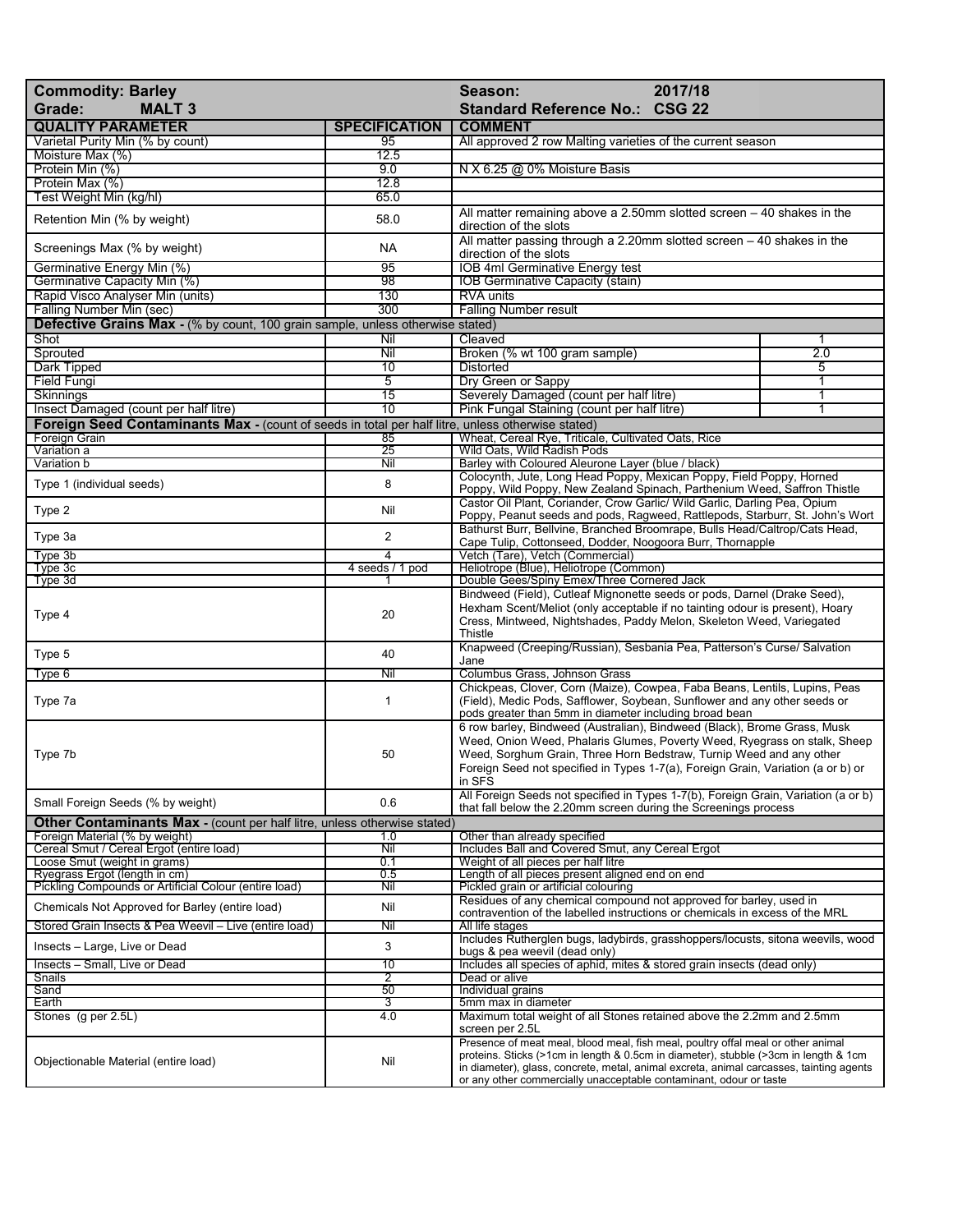| <b>Commodity: Barley</b><br>Grade:<br><b>MALT 3</b>                                               |                                   | 2017/18<br>Season:<br><b>Standard Reference No.: CSG 22</b>                                                                                                                                                                                                                                                                               |     |
|---------------------------------------------------------------------------------------------------|-----------------------------------|-------------------------------------------------------------------------------------------------------------------------------------------------------------------------------------------------------------------------------------------------------------------------------------------------------------------------------------------|-----|
| <b>QUALITY PARAMETER</b>                                                                          | <b>SPECIFICATION</b>              | <b>COMMENT</b>                                                                                                                                                                                                                                                                                                                            |     |
| Varietal Purity Min (% by count)                                                                  | 95                                | All approved 2 row Malting varieties of the current season                                                                                                                                                                                                                                                                                |     |
| Moisture Max (%)                                                                                  | 12.5                              |                                                                                                                                                                                                                                                                                                                                           |     |
| Protein Min (%)                                                                                   | 9.0                               | N X 6.25 @ 0% Moisture Basis                                                                                                                                                                                                                                                                                                              |     |
| Protein Max (%)                                                                                   | 12.8                              |                                                                                                                                                                                                                                                                                                                                           |     |
| Test Weight Min (kg/hl)                                                                           | 65.0                              |                                                                                                                                                                                                                                                                                                                                           |     |
| Retention Min (% by weight)                                                                       | 58.0                              | All matter remaining above a 2.50mm slotted screen $-40$ shakes in the<br>direction of the slots<br>All matter passing through a 2.20mm slotted screen $-40$ shakes in the                                                                                                                                                                |     |
| Screenings Max (% by weight)                                                                      | NA                                | direction of the slots                                                                                                                                                                                                                                                                                                                    |     |
| Germinative Energy Min (%)                                                                        | 95<br>98                          | <b>IOB 4ml Germinative Energy test</b>                                                                                                                                                                                                                                                                                                    |     |
| Germinative Capacity Min (%)<br>Rapid Visco Analyser Min (units)                                  | 130                               | IOB Germinative Capacity (stain)<br><b>RVA units</b>                                                                                                                                                                                                                                                                                      |     |
| Falling Number Min (sec)                                                                          | 300                               | <b>Falling Number result</b>                                                                                                                                                                                                                                                                                                              |     |
| <b>Defective Grains Max</b> - (% by count, 100 grain sample, unless otherwise stated)             |                                   |                                                                                                                                                                                                                                                                                                                                           |     |
| Shot                                                                                              | Nil                               | Cleaved                                                                                                                                                                                                                                                                                                                                   | 1   |
| Sprouted                                                                                          | Nil                               | Broken (% wt 100 gram sample)                                                                                                                                                                                                                                                                                                             | 2.0 |
| Dark Tipped                                                                                       | 10                                | Distorted                                                                                                                                                                                                                                                                                                                                 | 5   |
| <b>Field Fungi</b>                                                                                | $\overline{5}$                    | Dry Green or Sappy                                                                                                                                                                                                                                                                                                                        | 1   |
| Skinnings                                                                                         | 15                                | Severely Damaged (count per half litre)                                                                                                                                                                                                                                                                                                   | 1   |
| Insect Damaged (count per half litre)                                                             | $\overline{10}$                   | Pink Fungal Staining (count per half litre)                                                                                                                                                                                                                                                                                               | 1   |
| Foreign Seed Contaminants Max - (count of seeds in total per half litre, unless otherwise stated) |                                   |                                                                                                                                                                                                                                                                                                                                           |     |
| <b>Foreign Grain</b><br>Variation a                                                               | 85<br>25                          | Wheat, Cereal Rye, Triticale, Cultivated Oats, Rice<br>Wild Oats, Wild Radish Pods                                                                                                                                                                                                                                                        |     |
| Variation b                                                                                       | Nil                               | Barley with Coloured Aleurone Layer (blue / black)                                                                                                                                                                                                                                                                                        |     |
|                                                                                                   |                                   | Colocynth, Jute, Long Head Poppy, Mexican Poppy, Field Poppy, Horned                                                                                                                                                                                                                                                                      |     |
| Type 1 (individual seeds)                                                                         | 8                                 | Poppy, Wild Poppy, New Zealand Spinach, Parthenium Weed, Saffron Thistle<br>Castor Oil Plant, Coriander, Crow Garlic/ Wild Garlic, Darling Pea, Opium                                                                                                                                                                                     |     |
| Type 2                                                                                            | Nil                               | Poppy, Peanut seeds and pods, Ragweed, Rattlepods, Starburr, St. John's Wort<br>Bathurst Burr, Bellvine, Branched Broomrape, Bulls Head/Caltrop/Cats Head,                                                                                                                                                                                |     |
| Type 3a                                                                                           | $\overline{2}$                    | Cape Tulip, Cottonseed, Dodder, Noogoora Burr, Thornapple                                                                                                                                                                                                                                                                                 |     |
| Type 3b<br>Type 3c                                                                                | $\overline{4}$<br>4 seeds / 1 pod | Vetch (Tare), Vetch (Commercial)<br>Heliotrope (Blue), Heliotrope (Common)                                                                                                                                                                                                                                                                |     |
| Type 3d                                                                                           |                                   | Double Gees/Spiny Emex/Three Cornered Jack                                                                                                                                                                                                                                                                                                |     |
| Type 4                                                                                            | 20                                | Bindweed (Field), Cutleaf Mignonette seeds or pods, Darnel (Drake Seed),<br>Hexham Scent/Meliot (only acceptable if no tainting odour is present), Hoary<br>Cress, Mintweed, Nightshades, Paddy Melon, Skeleton Weed, Variegated<br>Thistle                                                                                               |     |
| Type 5                                                                                            | 40                                | Knapweed (Creeping/Russian), Sesbania Pea, Patterson's Curse/ Salvation<br>Jane                                                                                                                                                                                                                                                           |     |
| Type 6                                                                                            | Nil                               | Columbus Grass, Johnson Grass                                                                                                                                                                                                                                                                                                             |     |
| Type 7a                                                                                           | 1                                 | Chickpeas, Clover, Corn (Maize), Cowpea, Faba Beans, Lentils, Lupins, Peas<br>(Field), Medic Pods, Safflower, Soybean, Sunflower and any other seeds or<br>pods greater than 5mm in diameter including broad bean                                                                                                                         |     |
| Type 7b                                                                                           | 50                                | 6 row barley, Bindweed (Australian), Bindweed (Black), Brome Grass, Musk<br>Weed, Onion Weed, Phalaris Glumes, Poverty Weed, Ryegrass on stalk, Sheep<br>Weed, Sorghum Grain, Three Horn Bedstraw, Turnip Weed and any other<br>Foreign Seed not specified in Types 1-7(a), Foreign Grain, Variation (a or b) or<br>in SFS                |     |
| Small Foreign Seeds (% by weight)                                                                 | 0.6                               | All Foreign Seeds not specified in Types 1-7(b), Foreign Grain, Variation (a or b)<br>that fall below the 2.20mm screen during the Screenings process                                                                                                                                                                                     |     |
| Other Contaminants Max - (count per half litre, unless otherwise stated)                          |                                   |                                                                                                                                                                                                                                                                                                                                           |     |
| Foreign Material (% by weight)                                                                    | 1.0                               | Other than already specified                                                                                                                                                                                                                                                                                                              |     |
| Cereal Smut / Cereal Ergot (entire load)<br>Loose Smut (weight in grams)                          | Nil<br>0.1                        | Includes Ball and Covered Smut, any Cereal Ergot<br>Weight of all pieces per half litre                                                                                                                                                                                                                                                   |     |
| Ryegrass Ergot (length in cm)                                                                     | 0.5                               | Length of all pieces present aligned end on end                                                                                                                                                                                                                                                                                           |     |
| Pickling Compounds or Artificial Colour (entire load)                                             | Nil                               | Pickled grain or artificial colouring                                                                                                                                                                                                                                                                                                     |     |
| Chemicals Not Approved for Barley (entire load)                                                   | Nil                               | Residues of any chemical compound not approved for barley, used in                                                                                                                                                                                                                                                                        |     |
| Stored Grain Insects & Pea Weevil - Live (entire load)                                            | Nil                               | contravention of the labelled instructions or chemicals in excess of the MRL<br>All life stages                                                                                                                                                                                                                                           |     |
| Insects - Large, Live or Dead                                                                     | 3                                 | Includes Rutherglen bugs, ladybirds, grasshoppers/locusts, sitona weevils, wood<br>bugs & pea weevil (dead only)                                                                                                                                                                                                                          |     |
| Insects - Small, Live or Dead                                                                     | 10                                | Includes all species of aphid, mites & stored grain insects (dead only)                                                                                                                                                                                                                                                                   |     |
| Snails                                                                                            | $\overline{2}$                    | Dead or alive                                                                                                                                                                                                                                                                                                                             |     |
| Sand                                                                                              | 50                                | Individual grains                                                                                                                                                                                                                                                                                                                         |     |
| Earth<br>Stones (g per 2.5L)                                                                      | 3<br>4.0                          | 5mm max in diameter                                                                                                                                                                                                                                                                                                                       |     |
|                                                                                                   |                                   | Maximum total weight of all Stones retained above the 2.2mm and 2.5mm<br>screen per 2.5L                                                                                                                                                                                                                                                  |     |
| Objectionable Material (entire load)                                                              | Nil                               | Presence of meat meal, blood meal, fish meal, poultry offal meal or other animal<br>proteins. Sticks (>1cm in length & 0.5cm in diameter), stubble (>3cm in length & 1cm<br>in diameter), glass, concrete, metal, animal excreta, animal carcasses, tainting agents<br>or any other commercially unacceptable contaminant, odour or taste |     |
|                                                                                                   |                                   |                                                                                                                                                                                                                                                                                                                                           |     |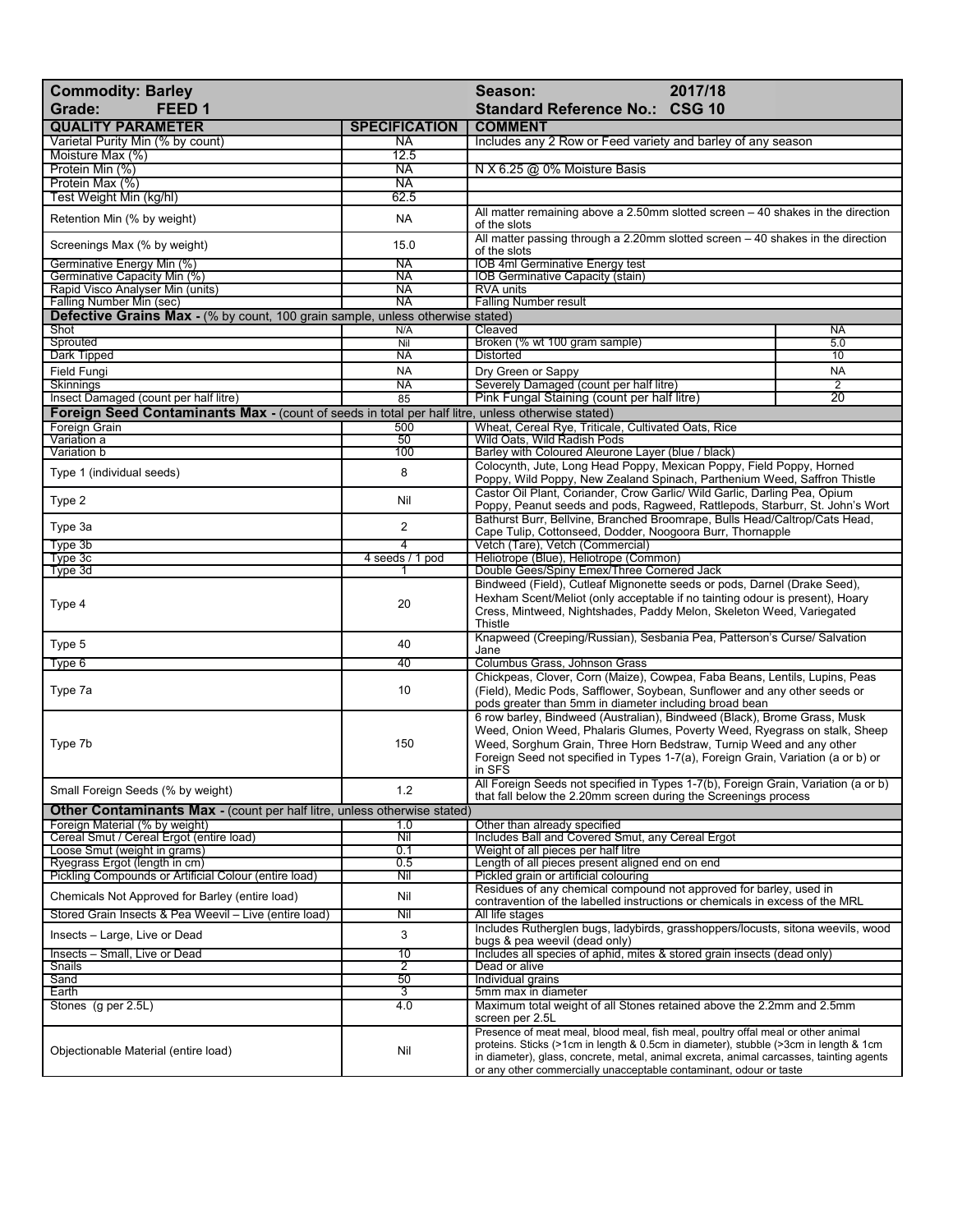| <b>Commodity: Barley</b><br>FEED <sub>1</sub><br>Grade:                                                           |                      | 2017/18<br>Season:<br><b>Standard Reference No.: CSG 10</b>                                                                                                                                                                                                                                                                               |                |
|-------------------------------------------------------------------------------------------------------------------|----------------------|-------------------------------------------------------------------------------------------------------------------------------------------------------------------------------------------------------------------------------------------------------------------------------------------------------------------------------------------|----------------|
|                                                                                                                   |                      |                                                                                                                                                                                                                                                                                                                                           |                |
| <b>QUALITY PARAMETER</b>                                                                                          | <b>SPECIFICATION</b> | <b>COMMENT</b>                                                                                                                                                                                                                                                                                                                            |                |
| Varietal Purity Min (% by count)<br>Moisture Max (%)                                                              | <b>NA</b><br>12.5    | Includes any 2 Row or Feed variety and barley of any season                                                                                                                                                                                                                                                                               |                |
| Protein Min (%)                                                                                                   | <b>NA</b>            | N X 6.25 @ 0% Moisture Basis                                                                                                                                                                                                                                                                                                              |                |
| Protein Max (%)                                                                                                   | <b>NA</b>            |                                                                                                                                                                                                                                                                                                                                           |                |
| Test Weight Min (kg/hl)                                                                                           | 62.5                 |                                                                                                                                                                                                                                                                                                                                           |                |
| Retention Min (% by weight)                                                                                       | <b>NA</b>            | All matter remaining above a 2.50mm slotted screen $-40$ shakes in the direction<br>of the slots                                                                                                                                                                                                                                          |                |
| Screenings Max (% by weight)                                                                                      | 15.0                 | All matter passing through a 2.20mm slotted screen - 40 shakes in the direction<br>of the slots                                                                                                                                                                                                                                           |                |
| Germinative Energy Min (%)                                                                                        | <b>NA</b>            | <b>IOB 4ml Germinative Energy test</b>                                                                                                                                                                                                                                                                                                    |                |
| Germinative Capacity Min (%)                                                                                      | <b>NA</b>            | IOB Germinative Capacity (stain)                                                                                                                                                                                                                                                                                                          |                |
| Rapid Visco Analyser Min (units)                                                                                  | NA                   | <b>RVA units</b>                                                                                                                                                                                                                                                                                                                          |                |
| Falling Number Min (sec)<br><b>Defective Grains Max - (% by count, 100 grain sample, unless otherwise stated)</b> | <b>NA</b>            | <b>Falling Number result</b>                                                                                                                                                                                                                                                                                                              |                |
| Shot                                                                                                              | N/A                  | Cleaved                                                                                                                                                                                                                                                                                                                                   | <b>NA</b>      |
| Sprouted                                                                                                          | Nil                  | Broken (% wt 100 gram sample)                                                                                                                                                                                                                                                                                                             | 5.0            |
| <b>Dark Tipped</b>                                                                                                | <b>NA</b>            | <b>Distorted</b>                                                                                                                                                                                                                                                                                                                          | 10             |
| Field Fungi                                                                                                       | <b>NA</b>            | Dry Green or Sappy                                                                                                                                                                                                                                                                                                                        | <b>NA</b>      |
| <b>Skinnings</b>                                                                                                  | <b>NA</b>            | Severely Damaged (count per half litre)                                                                                                                                                                                                                                                                                                   | $\overline{2}$ |
| Insect Damaged (count per half litre)                                                                             | 85                   | Pink Fungal Staining (count per half litre)                                                                                                                                                                                                                                                                                               | 20             |
| Foreign Seed Contaminants Max - (count of seeds in total per half litre, unless otherwise stated)                 |                      |                                                                                                                                                                                                                                                                                                                                           |                |
| <b>Foreign Grain</b>                                                                                              | 500                  | Wheat, Cereal Rye, Triticale, Cultivated Oats, Rice                                                                                                                                                                                                                                                                                       |                |
| Variation a                                                                                                       | 50                   | Wild Oats, Wild Radish Pods                                                                                                                                                                                                                                                                                                               |                |
| Variation b                                                                                                       | 100                  | Barley with Coloured Aleurone Layer (blue / black)                                                                                                                                                                                                                                                                                        |                |
| Type 1 (individual seeds)                                                                                         | 8                    | Colocynth, Jute, Long Head Poppy, Mexican Poppy, Field Poppy, Horned<br>Poppy, Wild Poppy, New Zealand Spinach, Parthenium Weed, Saffron Thistle                                                                                                                                                                                          |                |
| Type 2                                                                                                            | Nil                  | Castor Oil Plant, Coriander, Crow Garlic/ Wild Garlic, Darling Pea, Opium<br>Poppy, Peanut seeds and pods, Ragweed, Rattlepods, Starburr, St. John's Wort                                                                                                                                                                                 |                |
| Type 3a                                                                                                           | $\overline{2}$       | Bathurst Burr, Bellvine, Branched Broomrape, Bulls Head/Caltrop/Cats Head,<br>Cape Tulip, Cottonseed, Dodder, Noogoora Burr, Thornapple                                                                                                                                                                                                   |                |
| Type 3b                                                                                                           | 4                    | Vetch (Tare), Vetch (Commercial)                                                                                                                                                                                                                                                                                                          |                |
| Type 3c<br>Type 3d                                                                                                | 4 seeds / 1 pod      | Heliotrope (Blue), Heliotrope (Common)<br>Double Gees/Spiny Emex/Three Cornered Jack                                                                                                                                                                                                                                                      |                |
| Type 4                                                                                                            | 20                   | Bindweed (Field), Cutleaf Mignonette seeds or pods, Darnel (Drake Seed),<br>Hexham Scent/Meliot (only acceptable if no tainting odour is present), Hoary<br>Cress, Mintweed, Nightshades, Paddy Melon, Skeleton Weed, Variegated<br>Thistle                                                                                               |                |
| Type 5                                                                                                            | 40                   | Knapweed (Creeping/Russian), Sesbania Pea, Patterson's Curse/ Salvation<br>Jane                                                                                                                                                                                                                                                           |                |
| Type 6                                                                                                            | 40                   | Columbus Grass, Johnson Grass                                                                                                                                                                                                                                                                                                             |                |
| Type 7a                                                                                                           | 10                   | Chickpeas, Clover, Corn (Maize), Cowpea, Faba Beans, Lentils, Lupins, Peas<br>(Field), Medic Pods, Safflower, Soybean, Sunflower and any other seeds or<br>pods greater than 5mm in diameter including broad bean                                                                                                                         |                |
| Type 7b                                                                                                           | 150                  | 6 row barley, Bindweed (Australian), Bindweed (Black), Brome Grass, Musk<br>Weed, Onion Weed, Phalaris Glumes, Poverty Weed, Ryegrass on stalk, Sheep<br>Weed, Sorghum Grain, Three Horn Bedstraw, Turnip Weed and any other<br>Foreign Seed not specified in Types 1-7(a), Foreign Grain, Variation (a or b) or<br>in SFS                |                |
| Small Foreign Seeds (% by weight)                                                                                 | 1.2                  | All Foreign Seeds not specified in Types 1-7(b), Foreign Grain, Variation (a or b)<br>that fall below the 2.20mm screen during the Screenings process                                                                                                                                                                                     |                |
| Other Contaminants Max - (count per half litre, unless otherwise stated)                                          |                      |                                                                                                                                                                                                                                                                                                                                           |                |
| Foreign Material (% by weight)<br>Cereal Smut / Cereal Ergot (entire load)                                        | 1.0<br>Nil           | Other than already specified<br>Includes Ball and Covered Smut, any Cereal Ergot                                                                                                                                                                                                                                                          |                |
| Loose Smut (weight in grams)                                                                                      | 0.1                  | Weight of all pieces per half litre                                                                                                                                                                                                                                                                                                       |                |
| Ryegrass Ergot (length in cm)                                                                                     | 0.5                  | Length of all pieces present aligned end on end                                                                                                                                                                                                                                                                                           |                |
| Pickling Compounds or Artificial Colour (entire load)                                                             | Nil                  | Pickled grain or artificial colouring                                                                                                                                                                                                                                                                                                     |                |
| Chemicals Not Approved for Barley (entire load)                                                                   | Nil                  | Residues of any chemical compound not approved for barley, used in                                                                                                                                                                                                                                                                        |                |
|                                                                                                                   |                      | contravention of the labelled instructions or chemicals in excess of the MRL                                                                                                                                                                                                                                                              |                |
| Stored Grain Insects & Pea Weevil - Live (entire load)                                                            | Nil                  | All life stages                                                                                                                                                                                                                                                                                                                           |                |
| Insects - Large, Live or Dead                                                                                     | 3                    | Includes Rutherglen bugs, ladybirds, grasshoppers/locusts, sitona weevils, wood<br>bugs & pea weevil (dead only)                                                                                                                                                                                                                          |                |
| Insects - Small, Live or Dead                                                                                     | $\overline{10}$      | Includes all species of aphid, mites & stored grain insects (dead only)                                                                                                                                                                                                                                                                   |                |
| Snails<br>Sand                                                                                                    | 2<br>50              | Dead or alive<br>Individual grains                                                                                                                                                                                                                                                                                                        |                |
| Earth                                                                                                             | 3                    | 5mm max in diameter                                                                                                                                                                                                                                                                                                                       |                |
| Stones (g per 2.5L)                                                                                               | 4.0                  | Maximum total weight of all Stones retained above the 2.2mm and 2.5mm<br>screen per 2.5L                                                                                                                                                                                                                                                  |                |
| Objectionable Material (entire load)                                                                              | Nil                  | Presence of meat meal, blood meal, fish meal, poultry offal meal or other animal<br>proteins. Sticks (>1cm in length & 0.5cm in diameter), stubble (>3cm in length & 1cm<br>in diameter), glass, concrete, metal, animal excreta, animal carcasses, tainting agents<br>or any other commercially unacceptable contaminant, odour or taste |                |